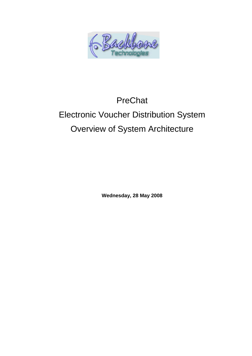

# PreChat

# Electronic Voucher Distribution System Overview of System Architecture

**Wednesday, 28 May 2008**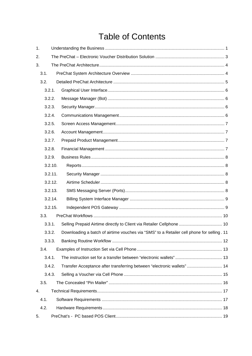# **Table of Contents**

| 1. |         |                                                                                           |  |
|----|---------|-------------------------------------------------------------------------------------------|--|
| 2. |         |                                                                                           |  |
| 3. |         |                                                                                           |  |
|    | 3.1.    |                                                                                           |  |
|    | 3.2.    |                                                                                           |  |
|    | 3.2.1.  |                                                                                           |  |
|    | 3.2.2.  |                                                                                           |  |
|    | 3.2.3.  |                                                                                           |  |
|    | 3.2.4.  |                                                                                           |  |
|    | 3.2.5.  |                                                                                           |  |
|    | 3.2.6.  |                                                                                           |  |
|    | 3.2.7.  |                                                                                           |  |
|    | 3.2.8.  |                                                                                           |  |
|    | 3.2.9.  |                                                                                           |  |
|    | 3.2.10. |                                                                                           |  |
|    | 3.2.11. |                                                                                           |  |
|    | 3.2.12. |                                                                                           |  |
|    | 3.2.13. |                                                                                           |  |
|    | 3.2.14. |                                                                                           |  |
|    | 3.2.15. |                                                                                           |  |
|    | 3.3.    |                                                                                           |  |
|    | 3.3.1.  | Selling Prepaid Airtime directly to Client via Retailer Cellphone  10                     |  |
|    | 3.3.2.  | Downloading a batch of airtime vouches via "SMS" to a Retailer cell phone for selling. 11 |  |
|    | 3.3.3.  |                                                                                           |  |
|    | 3.4.    |                                                                                           |  |
|    | 3.4.1.  |                                                                                           |  |
|    | 3.4.2.  | Transfer Acceptance after transferring between "electronic wallets" 14                    |  |
|    | 3.4.3.  |                                                                                           |  |
|    | 3.5.    |                                                                                           |  |
| 4. |         |                                                                                           |  |
|    | 4.1.    |                                                                                           |  |
|    | 4.2.    |                                                                                           |  |
| 5. |         |                                                                                           |  |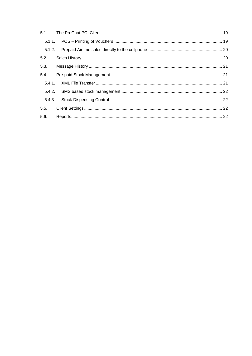| 5.2.   |  |
|--------|--|
| 5.3.   |  |
| 5.4.   |  |
|        |  |
|        |  |
| 5.4.3. |  |
|        |  |
| 5.6.   |  |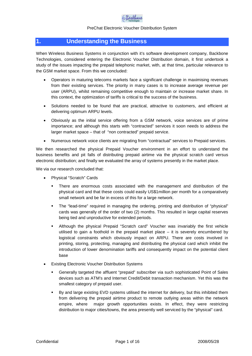

# <span id="page-3-0"></span>**1. Understanding the Business**

When Wireless Business Systems in conjunction with it's software development company, Backbone Technologies, considered entering the Electronic Voucher Distribution domain, it first undertook a study of the issues impacting the prepaid telephonic market, with, at that time, particular relevance to the GSM market space. From this we concluded:

- Operators in maturing telecoms markets face a significant challenge in maximising revenues from their existing services. The priority in many cases is to increase average revenue per user (ARPU), whilst remaining competitive enough to maintain or increase market share. In this context, the optimization of tariffs is critical to the success of the business.
- Solutions needed to be found that are practical, attractive to customers, and efficient at delivering optimum ARPU levels.
- Obviously as the initial service offering from a GSM network, voice services are of prime importance; and although this starts with "contracted" services it soon needs to address the larger market space – that of "non contracted" prepaid service.
- Numerous network voice clients are migrating from "contractual" services to Prepaid services.

We then researched the physical Prepaid Voucher environment in an effort to understand the business benefits and pit falls of distributing prepaid airtime via the physical scratch card versus electronic distribution; and finally we evaluated the array of systems presently in the market place.

We via our research concluded that:

- Physical "Scratch" Cards
	- There are enormous costs associated with the management and distribution of the physical card and that these costs could easily US\$1million per month for a comparatively small network and be far in excess of this for a large network.
	- The "lead-time" required in managing the ordering, printing and distribution of "physical" cards was generally of the order of two (2) months. This resulted in large capital reserves being tied and unproductive for extended periods.
	- Although the physical Prepaid "Scratch card" Voucher was invariably the first vehicle utilised to gain a foothold in the prepaid market place – it is severely encumbered by logistical constraints which obviously impact on ARPU. There are costs involved in printing, storing, protecting, managing and distributing the physical card which inhibit the introduction of lower denomination tariffs and consequently impact on the potential client base
- Existing Electronic Voucher Distribution Systems
	- Generally targeted the affluent "prepaid" subscriber via such sophisticated Point of Sales devices such as ATM's and Internet Credit/Debit transaction mechanism. Yet this was the smallest category of prepaid user.
	- By and large existing EVD systems utilised the internet for delivery, but this inhibited them from delivering the prepaid airtime product to remote outlying areas within the network empire, where major growth opportunities exists. In effect, they were restricting distribution to major cities/towns, the area presently well serviced by the "physical" card.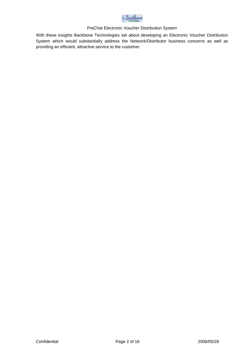

With these insights Backbone Technologies set about developing an Electronic Voucher Distribution System which would substantially address the Network/Distributor business concerns as well as providing an efficient, attractive service to the customer.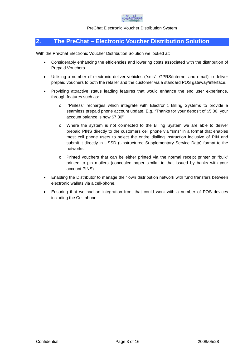

# <span id="page-5-0"></span>**2. The PreChat – Electronic Voucher Distribution Solution**

With the PreChat Electronic Voucher Distribution Solution we looked at:

- Considerably enhancing the efficiencies and lowering costs associated with the distribution of Prepaid Vouchers.
- Utilising a number of electronic deliver vehicles ("sms", GPRS/Internet and email) to deliver prepaid vouchers to both the retailer and the customer via a standard POS gateway/interface.
- Providing attractive status leading features that would enhance the end user experience, through features such as:
	- o "Pinless" recharges which integrate with Electronic Billing Systems to provide a seamless prepaid phone account update. E.g. "Thanks for your deposit of \$5.00, your account balance is now \$7.30"
	- o Where the system is not connected to the Billing System we are able to deliver prepaid PINS directly to the customers cell phone via "sms" in a format that enables most cell phone users to select the entire dialling instruction inclusive of PIN and submit it directly in USSD (Unstructured Supplementary Service Data) format to the networks.
	- o Printed vouchers that can be either printed via the normal receipt printer or "bulk" printed to pin mailers (concealed paper similar to that issued by banks with your account PINS).
- Enabling the Distributor to manage their own distribution network with fund transfers between electronic wallets via a cell-phone.
- Ensuring that we had an integration front that could work with a number of POS devices including the Cell phone.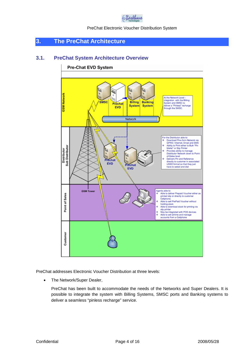

# <span id="page-6-0"></span>**3. The PreChat Architecture**

# **3.1. PreChat System Architecture Overview**

<span id="page-6-1"></span>

PreChat addresses Electronic Voucher Distribution at three levels:

• The Network/Super Dealer,

PreChat has been built to accommodate the needs of the Networks and Super Dealers. It is possible to integrate the system with Billing Systems, SMSC ports and Banking systems to deliver a seamless "pinless recharge" service.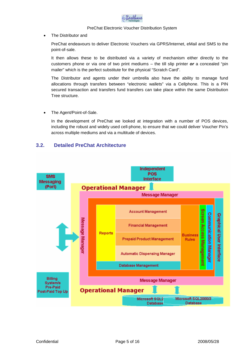

The Distributor and

PreChat endeavours to deliver Electronic Vouchers via GPRS/Internet, eMail and SMS to the point-of-sale.

It then allows these to be distributed via a variety of mechanism either directly to the customers phone or via one of two print mediums – the till slip printer *or* a concealed "pin mailer" which is the perfect substitute for the physical "Scratch Card".

The Distributor and agents under their umbrella also have the ability to manage fund allocations through transfers between "electronic wallets" via a Cellphone. This is a PIN secured transaction and transfers fund transfers can take place within the same Distribution Tree structure.

The Agent/Point-of-Sale.

In the development of PreChat we looked at integration with a number of POS devices, including the robust and widely used cell-phone, to ensure that we could deliver Voucher Pin's across multiple mediums and via a multitude of devices.

# <span id="page-7-0"></span>**3.2. Detailed PreChat Architecture**

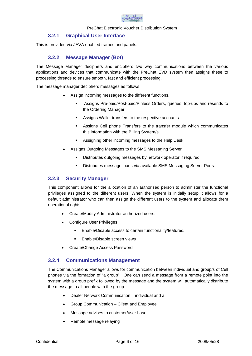

# <span id="page-8-0"></span>**3.2.1. Graphical User Interface**

This is provided via JAVA enabled frames and panels.

# <span id="page-8-1"></span>**3.2.2. Message Manager (Bot)**

The Message Manager deciphers and enciphers two way communications between the various applications and devices that communicate with the PreChat EVD system then assigns these to processing threads to ensure smooth, fast and efficient processing.

The message manager deciphers messages as follows:

- Assign incoming messages to the different functions.
	- Assigns Pre-paid/Post-paid/Pinless Orders, queries, top-ups and resends to the Ordering Manager
	- Assigns Wallet transfers to the respective accounts
	- Assigns Cell phone Transfers to the transfer module which communicates this information with the Billing System/s
	- **Assigning other incoming messages to the Help Desk**
- Assigns Outgoing Messages to the SMS Messaging Server
	- Distributes outgoing messages by network operator if required
	- **Distributes message loads via available SMS Messaging Server Ports.**

## <span id="page-8-2"></span>**3.2.3. Security Manager**

This component allows for the allocation of an authorised person to administer the functional privileges assigned to the different users. When the system is initially setup it allows for a default administrator who can then assign the different users to the system and allocate them operational rights.

- Create/Modify Administrator authorized users.
- Configure User Privileges
	- **Enable/Disable access to certain functionality/features.**
	- Enable/Disable screen views
- <span id="page-8-3"></span>Create/Change Access Password

# **3.2.4. Communications Management**

The Communications Manager allows for communication between individual and group/s of Cell phones via the formation of "a group". One can send a message from a remote point into the system with a group prefix followed by the message and the system will automatically distribute the message to all people with the group.

- Dealer Network Communication individual and all
- Group Communication Client and Employee
- Message advises to customer/user base
- Remote message relaying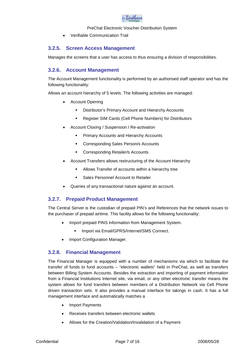

<span id="page-9-0"></span>Verifiable Communication Trail

# **3.2.5. Screen Access Management**

Manages the screens that a user has access to thus ensuring a division of responsibilities.

# <span id="page-9-1"></span>**3.2.6. Account Management**

The Account Management functionality is performed by an authorised staff operator and has the following functionality:

Allows an account hierarchy of 5 levels. The following activities are managed:

- Account Opening
	- **EXECOUNTER Distributor's Primary Account and Hierarchy Accounts**
	- Register SIM Cards (Cell Phone Numbers) for Distributors
- Account Closing / Suspension / Re-activation
	- **Primary Accounts and Hierarchy Accounts**
	- **EXECO CORREGION CORREGION CORREGION CONTENTS**
	- **EXECOTE COTE SPONDING** Retailer/s Accounts
- Account Transfers allows restructuring of the Account Hierarchy
	- Allows Transfer of accounts within a hierarchy tree
	- **Sales Personnel Account to Retailer**
- <span id="page-9-2"></span>Queries of any transactional nature against an account.

# **3.2.7. Prepaid Product Management**

The Central Server is the custodian of prepaid PIN's and References that the network issues to the purchaser of prepaid airtime. This facility allows for the following functionality:

- Import prepaid PINS information from Management System.
	- **Import via Email/GPRS/Internet/SMS Connect.**
- <span id="page-9-3"></span>• Import Configuration Manager.

# **3.2.8. Financial Management**

The Financial Manager is equipped with a number of mechanisms via which to facilitate the transfer of funds to fund accounts – "electronic wallets" held in PreChat, as well as transfers between Billing System Accounts. Besides the extraction and importing of payment information from a Financial Institutions Internet site, via email, or any other electronic transfer means the system allows for fund transfers between members of a Distribution Network via Cell Phone driven transaction sets. It also provides a manual interface for takings in cash. It has a full management interface and automatically matches a

- Import Payments
- Receives transfers between electronic wallets
- Allows for the Creation/Validation/Invalidation of a Payment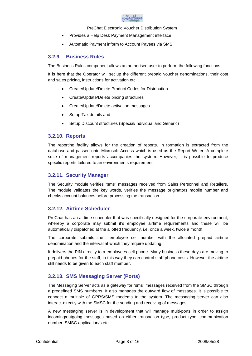

- Provides a Help Desk Payment Management interface
- <span id="page-10-0"></span>Automatic Payment inform to Account Payees via SMS

# **3.2.9. Business Rules**

The Business Rules component allows an authorised user to perform the following functions.

It is here that the Operator will set up the different prepaid voucher denominations, their cost and sales pricing, instructions for activation etc.

- Create/Update/Delete Product Codes for Distribution
- Create/Update/Delete pricing structures
- Create/Update/Delete activation messages
- Setup Tax details and
- <span id="page-10-1"></span>Setup Discount structures (Special/Individual and Generic)

# **3.2.10. Reports**

The reporting facility allows for the creation of reports. In formation is extracted from the database and passed onto Microsoft Access which is used as the Report Writer. A complete suite of management reports accompanies the system. However, it is possible to produce specific reports tailored to an environments requirement.

# <span id="page-10-2"></span>**3.2.11. Security Manager**

The Security module verifies "sms" messages received from Sales Personnel and Retailers. The module validates the key words, verifies the message originators mobile number and checks account balances before processing the transaction.

# <span id="page-10-3"></span>**3.2.12. Airtime Scheduler**

PreChat has an airtime scheduler that was specifically designed for the corporate environment, whereby a corporate may submit it's employee airtime requirements and these will be automatically dispatched at the allotted frequency, i.e. once a week, twice a month

The corporate submits the employee cell number with the allocated prepaid airtime denomination and the interval at which they require updating.

It delivers the PIN directly to a employees cell phone. Many business these days are moving to prepaid phones for the staff, in this way they can control staff phone costs. However the airtime still needs to be given to each staff member.

# <span id="page-10-4"></span>**3.2.13. SMS Messaging Server (Ports)**

The Messaging Server acts as a gateway for "sms" messages received from the SMSC through a predefined SMS number/s. It also manages the outward flow of messages. It is possible to connect a multiple of GPRS/SMS modems to the system. The messaging server can also interact directly with the SMSC for the sending and receiving of messages.

A new messaging server is in development that will manage multi-ports in order to assign incoming/outgoing messages based on either transaction type, product type, communication number, SMSC application/s etc.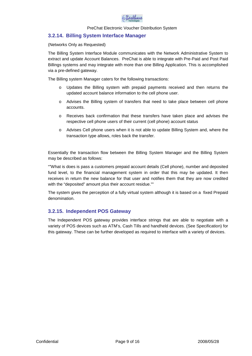

# <span id="page-11-0"></span>**3.2.14. Billing System Interface Manager**

### (Networks Only as Requested)

The Billing System Interface Module communicates with the Network Administrative System to extract and update Account Balances. PreChat is able to integrate with Pre-Paid and Post Paid Billings systems and may integrate with more than one Billing Application. This is accomplished via a pre-defined gateway.

The Billing system Manager caters for the following transactions:

- o Updates the Billing system with prepaid payments received and then returns the updated account balance information to the cell phone user.
- o Advises the Billing system of transfers that need to take place between cell phone accounts.
- o Receives back confirmation that these transfers have taken place and advises the respective cell phone users of their current (cell phone) account status
- o Advises Cell phone users when it is not able to update Billing System and, where the transaction type allows, roles back the transfer.

Essentially the transaction flow between the Billing System Manager and the Billing System may be described as follows:

""What is does is pass a customers prepaid account details (Cell phone), number and deposited fund level, to the financial management system in order that this may be updated. It then receives in return the new balance for that user and notifies them that they are now credited with the "deposited" amount plus their account residue.""

The system gives the perception of a fully virtual system although it is based on a fixed Prepaid denomination.

# <span id="page-11-1"></span>**3.2.15. Independent POS Gateway**

The Independent POS gateway provides interface strings that are able to negotiate with a variety of POS devices such as ATM's, Cash Tills and handheld devices. (See Specification) for this gateway. These can be further developed as required to interface with a variety of devices.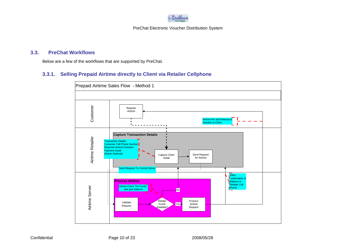

# **3.3. PreChat Workflows**

Below are a few of the workflows that are supported by PreChat.

# **3.3.1. Selling Prepaid Airtime directly to Client via Retailer Cellphone**

<span id="page-12-1"></span><span id="page-12-0"></span>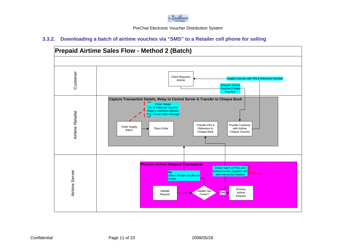

# **3.3.2. Downloading a batch of airtime vouches via "SMS" to a Retailer cell phone for selling**

<span id="page-13-0"></span>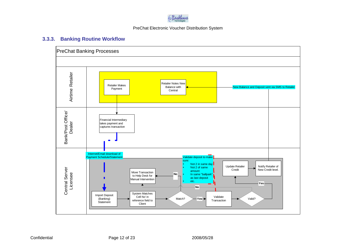

# **3.3.3. Banking Routine Workflow**

<span id="page-14-0"></span>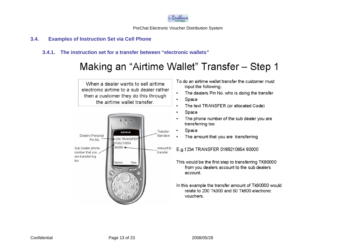

# **3.4. Examples of Instruction Set via Cell Phone**

# **3.4.1. The instruction set for a transfer between "electronic wallets"**

# Making an "Airtime Wallet" Transfer - Step 1

<span id="page-15-1"></span><span id="page-15-0"></span>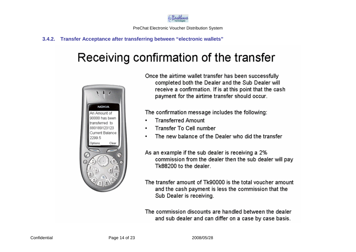

# **3.4.2. Transfer Acceptance after transferring between "electronic wallets"**

# Receiving confirmation of the transfer

<span id="page-16-0"></span>

Once the airtime wallet transfer has been successfully completed both the Dealer and the Sub Dealer will receive a confirmation. If is at this point that the cash payment for the airtime transfer should occur.

The confirmation message includes the following:

- **Transferred Amount**
- Transfer To Cell number
- The new balance of the Dealer who did the transfer
- As an example if the sub dealer is receiving a 2% commission from the dealer then the sub dealer will pay Tk88200 to the dealer.
- The transfer amount of Tk90000 is the total voucher amount and the cash payment is less the commission that the Sub Dealer is receiving.

The commission discounts are handled between the dealer and sub dealer and can differ on a case by case basis.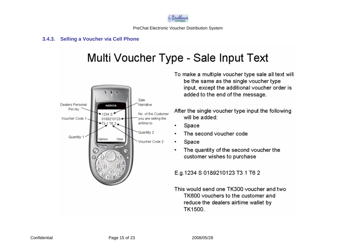

# **3.4.3. Selling a Voucher via Cell Phone**

# Multi Voucher Type - Sale Input Text

<span id="page-17-0"></span>

- To make a multiple voucher type sale all text will be the same as the single voucher type input, except the additional voucher order is added to the end of the message.
- After the single voucher type input the following will be added:
	- Space
- The second voucher code
- Space  $\bullet$
- The quantity of the second voucher the  $\bullet$ customer wishes to purchase
- E.g.1234 S 0189210123 T3 1 T6 2
- This would send one TK300 youcher and two TK600 vouchers to the customer and reduce the dealers airtime wallet by TK1500.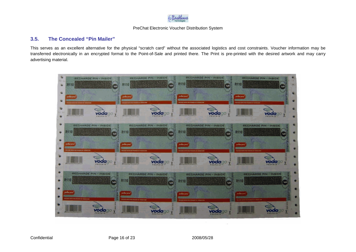

# **3.5. The Concealed "Pin Mailer"**

This serves as an excellent alternative for the physical "scratch card" without the associated logistics and cost constraints. Voucher information may be transferred electronically in an encrypted format to the Point-of-Sale and printed there. The Print is pre-printed with the desired artwork and may carry advertising material.

<span id="page-18-0"></span>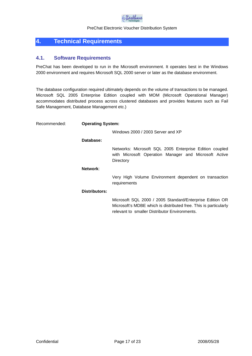

# <span id="page-19-0"></span>**4. Technical Requirements**

## <span id="page-19-1"></span>**4.1. Software Requirements**

PreChat has been developed to run in the Microsoft environment. It operates best in the Windows 2000 environment and requires Microsoft SQL 2000 server or later as the database environment.

The database configuration required ultimately depends on the volume of transactions to be managed. Microsoft SQL 2005 Enterprise Edition coupled with MOM (Microsoft Operational Manager) accommodates distributed process across clustered databases and provides features such as Fail Safe Management, Database Management etc.)

| Recommended: | <b>Operating System:</b> |                                                                                                                                                                               |  |  |  |
|--------------|--------------------------|-------------------------------------------------------------------------------------------------------------------------------------------------------------------------------|--|--|--|
|              |                          | Windows 2000 / 2003 Server and XP                                                                                                                                             |  |  |  |
|              | Database:                |                                                                                                                                                                               |  |  |  |
|              |                          | Networks: Microsoft SQL 2005 Enterprise Edition coupled<br>with Microsoft Operation Manager and Microsoft Active<br>Directory                                                 |  |  |  |
|              | Network:                 |                                                                                                                                                                               |  |  |  |
|              |                          | Very High Volume Environment dependent on transaction<br>requirements                                                                                                         |  |  |  |
|              | Distributors:            |                                                                                                                                                                               |  |  |  |
|              |                          | Microsoft SQL 2000 / 2005 Standard/Enterprise Edition OR<br>Microsoft's MDBE which is distributed free. This is particularly<br>relevant to smaller Distributor Environments. |  |  |  |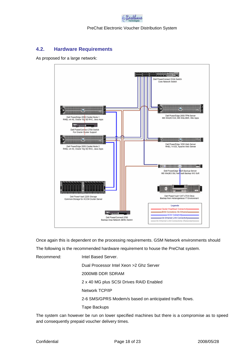

# **4.2. Hardware Requirements**

As proposed for a large network:

<span id="page-20-0"></span>

Once again this is dependent on the processing requirements. GSM Network environments should

The following is the recommended hardware requirement to house the PreChat system.

Recommend: Intel Based Server.

Dual Processor Intel Xeon >2 Ghz Server

2000MB DDR SDRAM

2 x 40 MG plus SCSI Drives RAID Enabled

Network TCP/IP

2-6 SMS/GPRS Modem/s based on anticipated traffic flows.

Tape Backups

The system can however be run on lower specified machines but there is a compromise as to speed and consequently prepaid voucher delivery times.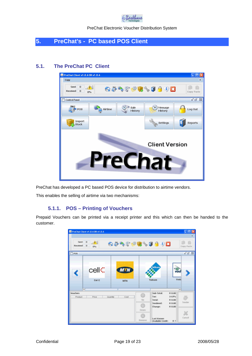

# <span id="page-21-0"></span>**5. PreChat's - PC based POS Client**

# **5.1. The PreChat PC Client**

<span id="page-21-1"></span>

PreChat has developed a PC based POS device for distribution to airtime vendors.

This enables the selling of airtime via two mechanisms:

## <span id="page-21-2"></span>**5.1.1. POS – Printing of Vouchers**

Prepaid Vouchers can be printed via a receipt printer and this which can then be handed to the customer.

| Sent 0<br>Received 0       | PreChat Client v1.0.4 08 v1.0.4<br>$-2$<br>O% | 65499840898 |           |                                        |                                  | C O<br>安<br>Copy Paste |
|----------------------------|-----------------------------------------------|-------------|-----------|----------------------------------------|----------------------------------|------------------------|
| POS                        |                                               |             |           |                                        |                                  | $a'$ of $18$           |
| ∢                          | cell<                                         | <b>MTN</b>  |           | Telkom                                 | œ<br>voc                         |                        |
|                            | Cel C<br>$\overline{a}$                       | <b>MTN</b>  | Telkom    |                                        | Vodi                             | ٠                      |
| <b>Vouchers</b><br>Product | Price<br>Quantity                             | Cost        | n<br>Up   | Sub-Total:<br>Tax:<br>Total:           | R 0.00<br>14.0%<br><b>R 0.00</b> | Tersder                |
|                            |                                               |             | O<br>Down | Torsdered:<br>Change:                  | <b>R 0.00</b><br>R 0.00          |                        |
|                            |                                               |             | Remove    | <b>Last Known</b><br>Available Credit: | R7                               | Cancel                 |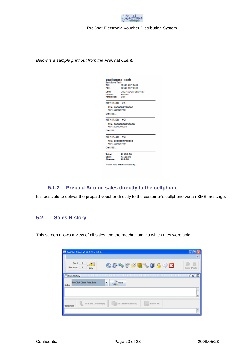

*Below is a sample print out from the PreChat Client.*

| <b>BackBone Tech</b><br><b>BackBone Tech</b> |                            |  |  |  |
|----------------------------------------------|----------------------------|--|--|--|
| Tel:                                         | (011) 467-9486             |  |  |  |
| Fax:                                         | (011) 467-9484             |  |  |  |
|                                              |                            |  |  |  |
| Date:                                        | 2007-10-05 09:07:37        |  |  |  |
| Cashler:                                     | konrad                     |  |  |  |
| Reference: 107                               |                            |  |  |  |
|                                              |                            |  |  |  |
| MTN $R.30 = 1$                               |                            |  |  |  |
|                                              | PIN: 1000007780000         |  |  |  |
| REF: 100000778                               |                            |  |  |  |
| DIAI 555                                     |                            |  |  |  |
|                                              |                            |  |  |  |
| MTN R.60 $\equiv$ 2                          |                            |  |  |  |
| <b>REF: 5000000053</b>                       | PIN: 50000000530000        |  |  |  |
| DIAI 555                                     |                            |  |  |  |
| MTN R.30 #3                                  |                            |  |  |  |
| REF: 100000779                               | PIN: 1000007790000         |  |  |  |
| Dial 555                                     |                            |  |  |  |
|                                              |                            |  |  |  |
| <b>Total:</b>                                | R 120.00                   |  |  |  |
| Cash:                                        | R 120.00                   |  |  |  |
| <b>Change:</b>                               | R 0.00                     |  |  |  |
|                                              |                            |  |  |  |
|                                              | Thank You, Have a nice day |  |  |  |

# <span id="page-22-0"></span>**5.1.2. Prepaid Airtime sales directly to the cellphone**

It is possible to deliver the prepaid voucher directly to the customer's cellphone via an SMS message.

# <span id="page-22-1"></span>**5.2. Sales History**

This screen allows a view of all sales and the mechanism via which they were sold

| PreChat Client v1.0.6 08 v1.0.6                    |                                    | 真                            |
|----------------------------------------------------|------------------------------------|------------------------------|
| Sent<br>0<br>- Al<br>$\bf{0}$<br>Received<br>$0\%$ | 6399985009B                        | Copy Paste                   |
| Sale History                                       |                                    | $a'$ of $\boxtimes$          |
| <b>PreChat Client Print Sale</b><br><b>Sales</b>   | View<br>٠                          |                              |
|                                                    |                                    | ۰                            |
|                                                    |                                    | ٠                            |
| Re-Send Voucher(s).<br><b>Vouchers</b>             | Select All<br>Re-Print Voucher(s). |                              |
|                                                    |                                    | $\qquad \qquad \bullet$<br>¥ |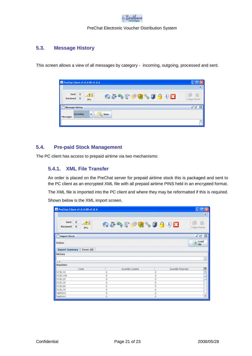

# <span id="page-23-0"></span>**5.3. Message History**

This screen allows a view of all messages by category - incoming, outgoing, processed and sent.

| PreChat Client v1.0.6 08 v1.0.6                                          | 真          |
|--------------------------------------------------------------------------|------------|
| Sent<br>$\bf{0}$<br>- Al<br>6349004089B<br>Received<br>$\bf{0}$<br>$0\%$ | Copy Paste |
| Message History                                                          | மீ பீ<br>図 |
| Incoming<br>View<br>٠<br>Messages                                        |            |
|                                                                          | ۰<br>m     |

# <span id="page-23-1"></span>**5.4. Pre-paid Stock Management**

The PC client has access to prepaid airtime via two mechanisms:

## <span id="page-23-2"></span>**5.4.1. XML File Transfer**

An order is placed on the PreChat server for prepaid airtime stock this is packaged and sent to the PC client as an encrypted XML file with all prepaid airtime PINS held in an encrypted format.

The XML file is imported into the PC client and where they may be reformatted if this is required.

Shown below is the XML import screen.

| PreChat Client v1.0.6 DB v1.0.6                             |   |                 |                   | - 18                       |
|-------------------------------------------------------------|---|-----------------|-------------------|----------------------------|
|                                                             |   |                 |                   | 含                          |
| Sent<br>$\bf o$<br>-AI<br>$\bf{0}$<br><b>Received</b><br>0% |   | 65999840898     |                   | Copy Paste                 |
| <b>Import Stock</b>                                         |   |                 |                   | a' D'<br>⊠                 |
| <b>Status</b>                                               |   |                 |                   | Load<br>$\Rightarrow$ File |
| Errors (0)<br><b>Import Summary</b>                         |   |                 |                   |                            |
| History                                                     |   |                 |                   | $\frac{1}{x}$              |
| <b>Vouchers</b>                                             |   |                 |                   |                            |
| Code                                                        |   | Quantity Loaded | Quantity Rejected | P                          |
| VCEL10                                                      | Ŭ | 0               |                   | Ê                          |
| WCEL150                                                     | Ŏ | Ŭ               |                   | w                          |
| <b>NCEL25</b>                                               | Ö | O               |                   |                            |
| <b>NCEL35</b>                                               | Ö | O               |                   |                            |
| <b>NCEL50</b>                                               | O | 0               |                   |                            |
| <b>NCEL70</b>                                               | O | $\bf{0}$        |                   |                            |
| <b>MTN10</b>                                                | Ŭ | 0               |                   | ٠                          |
| MACTN15                                                     | ň | ň               |                   |                            |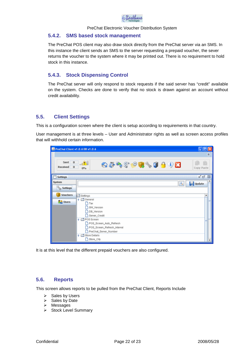

## <span id="page-24-0"></span>**5.4.2. SMS based stock management**

The PreChat POS client may also draw stock directly from the PreChat server via an SMS. In this instance the client sends an SMS to the server requesting a prepaid voucher, the sever returns the voucher to the system where it may be printed out. There is no requirement to hold stock in this instance.

# <span id="page-24-1"></span>**5.4.3. Stock Dispensing Control**

The PreChat server will only respond to stock requests if the said server has "credit" available on the system. Checks are done to verify that no stock is drawn against an account without credit availability.

# <span id="page-24-2"></span>**5.5. Client Settings**

This is a configuration screen where the client is setup according to requirements in that country.

User management is at three levels – User and Administrator rights as well as screen access profiles that will withhold certain information.

| PreChat Client v1.0.6 DB v1.0.6         |                                                                                                                                                                                                  | $\Box$ o $\times$      |
|-----------------------------------------|--------------------------------------------------------------------------------------------------------------------------------------------------------------------------------------------------|------------------------|
|                                         |                                                                                                                                                                                                  | $\approx$              |
| $\bf 0$<br>Sent<br>Received<br>$\bf{0}$ | $\perp$ and<br>63999840898<br>0%                                                                                                                                                                 | Copy Paste             |
| <b>Settings</b>                         |                                                                                                                                                                                                  | $\alpha'$ $\Box'$<br>⊠ |
| System                                  | ۹                                                                                                                                                                                                | Update                 |
| <b>Settings</b>                         |                                                                                                                                                                                                  |                        |
| <b>Vouchers</b>                         | Settings                                                                                                                                                                                         |                        |
| <b>SR</b> Users                         | ? □ General<br>$\Gamma$ Tax<br>SW_Version<br>DB_Version<br>Server_Credit<br>? □ POS Screen<br>POS_Screen_Auto_Refresh<br>POS_Screen_Refresh_Interval<br>PreChat_Server_Number<br>? Store Details |                        |
|                                         | Store_City                                                                                                                                                                                       |                        |

It is at this level that the different prepaid vouchers are also configured.

# <span id="page-24-3"></span>**5.6. Reports**

This screen allows reports to be pulled from the PreChat Client, Reports Include

- $\triangleright$  Sales by Users
- $\triangleright$  Sales by Date
- > Messages
- $\triangleright$  Stock Level Summary